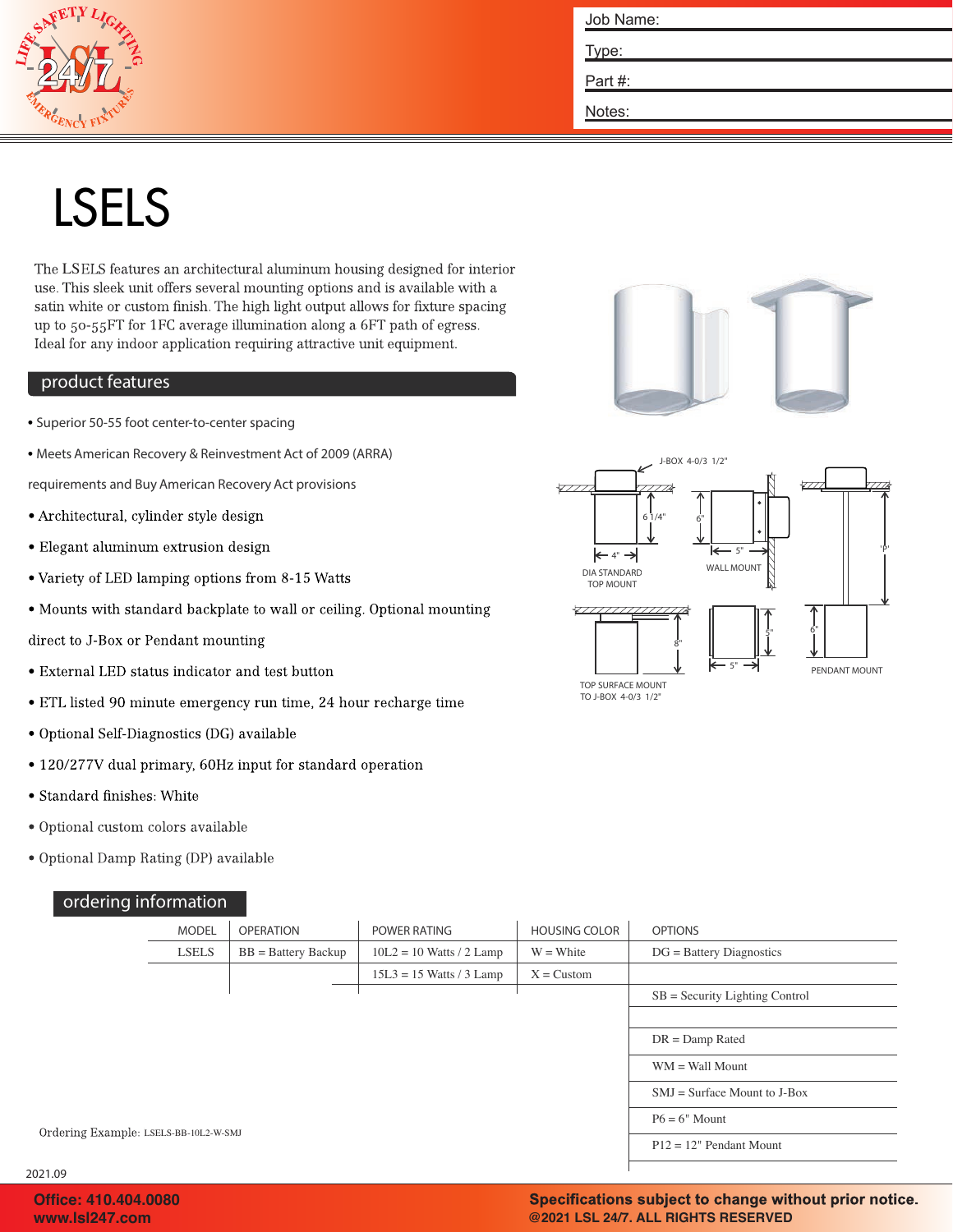

| Job Name: |
|-----------|
| Type:     |
| Part#:    |
| Notes:    |

# LSELS

The LSELS features an architectural aluminum housing designed for interior use. This sleek unit offers several mounting options and is available with a satin white or custom finish. The high light output allows for fixture spacing up to 50-55FT for 1FC average illumination along a 6FT path of egress. Ideal for any indoor application requiring attractive unit equipment.

#### product features

- Superior 50-55 foot center-to-center spacing
- Meets American Recovery & Reinvestment Act of 2009 (ARRA)

requirements and Buy American Recovery Act provisions

- Architectural, cylinder style design
- Elegant aluminum extrusion design
- Variety of LED lamping options from 8-15 Watts
- Mounts with standard backplate to wall or ceiling. Optional mounting

direct to J-Box or Pendant mounting

- External LED status indicator and test button
- ETL listed 90 minute emergency run time, 24 hour recharge time
- · Optional Self-Diagnostics (DG) available
- 120/277V dual primary, 60Hz input for standard operation
- Standard finishes: White
- · Optional custom colors available
- Optional Damp Rating (DP) available

## ordering information



ule Lighting , Inc. 46 Baker Street Providence, RI 02905 800 556-7690 P 401 941-2929 F www.mulelighting.com

2021.09